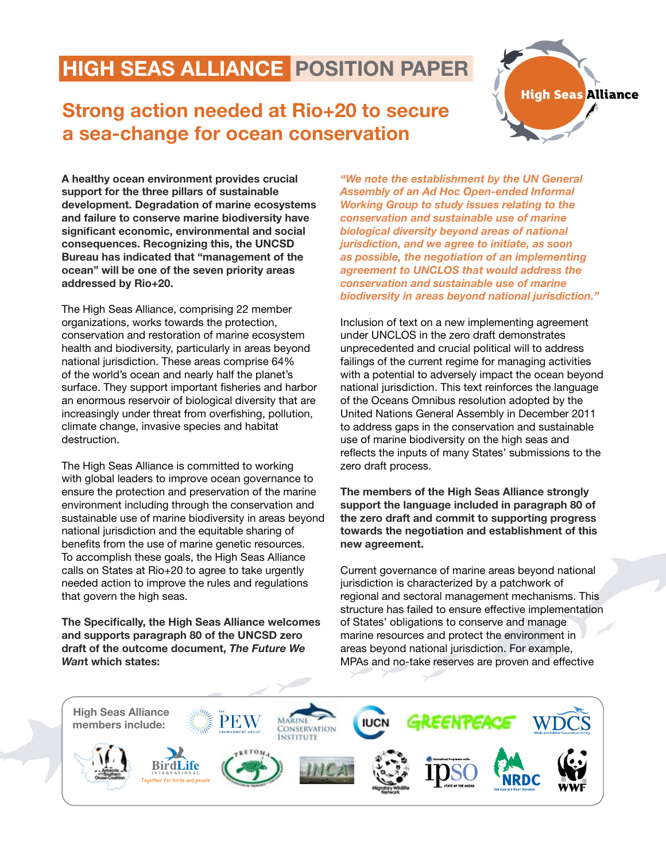## HIGH SEAS ALLIANCE POSITION PAPER

## Strong action needed at Rio+20 to secure a sea-change for ocean conservation



A healthy ocean environment provides crucial support for the three pillars of sustainable development. Degradation of marine ecosystems and failure to conserve marine biodiversity have significant economic, environmental and social consequences. Recognizing this, the UNCSD Bureau has indicated that "management of the ocean" will be one of the seven priority areas addressed by Rio+20.

The High Seas Alliance, comprising 22 member organizations, works towards the protection, conservation and restoration of marine ecosystem health and biodiversity, particularly in areas beyond national jurisdiction. These areas comprise 64% of the world's ocean and nearly half the planet's surface. They support important fisheries and harbor an enormous reservoir of biological diversity that are increasingly under threat from overfishing, pollution, climate change, invasive species and habitat destruction.

The High Seas Alliance is committed to working with global leaders to improve ocean governance to ensure the protection and preservation of the marine environment including through the conservation and sustainable use of marine biodiversity in areas beyond national jurisdiction and the equitable sharing of benefits from the use of marine genetic resources. To accomplish these goals, the High Seas Alliance calls on States at Rio+20 to agree to take urgently needed action to improve the rules and regulations that govern the high seas.

The Specifically, the High Seas Alliance welcomes and supports paragraph 80 of the UNCSD zero draft of the outcome document, *The Future We Wan*t which states:

*"We note the establishment by the UN General Assembly of an Ad Hoc Open-ended Informal Working Group to study issues relating to the conservation and sustainable use of marine biological diversity beyond areas of national jurisdiction, and we agree to initiate, as soon as possible, the negotiation of an implementing agreement to UNCLOS that would address the conservation and sustainable use of marine biodiversity in areas beyond national jurisdiction."*

Inclusion of text on a new implementing agreement under UNCLOS in the zero draft demonstrates unprecedented and crucial political will to address failings of the current regime for managing activities with a potential to adversely impact the ocean beyond national jurisdiction. This text reinforces the language of the Oceans Omnibus resolution adopted by the United Nations General Assembly in December 2011 to address gaps in the conservation and sustainable use of marine biodiversity on the high seas and reflects the inputs of many States' submissions to the zero draft process.

The members of the High Seas Alliance strongly support the language included in paragraph 80 of the zero draft and commit to supporting progress towards the negotiation and establishment of this new agreement.

Current governance of marine areas beyond national jurisdiction is characterized by a patchwork of regional and sectoral management mechanisms. This structure has failed to ensure effective implementation of States' obligations to conserve and manage marine resources and protect the environment in areas beyond national jurisdiction. For example, MPAs and no-take reserves are proven and effective